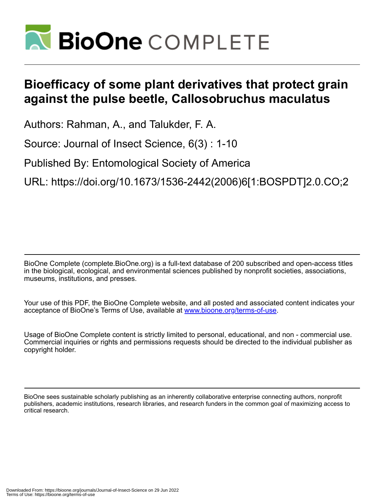

# **Bioefficacy of some plant derivatives that protect grain against the pulse beetle, Callosobruchus maculatus**

Authors: Rahman, A., and Talukder, F. A.

Source: Journal of Insect Science, 6(3) : 1-10

Published By: Entomological Society of America

URL: https://doi.org/10.1673/1536-2442(2006)6[1:BOSPDT]2.0.CO;2

BioOne Complete (complete.BioOne.org) is a full-text database of 200 subscribed and open-access titles in the biological, ecological, and environmental sciences published by nonprofit societies, associations, museums, institutions, and presses.

Your use of this PDF, the BioOne Complete website, and all posted and associated content indicates your acceptance of BioOne's Terms of Use, available at www.bioone.org/terms-of-use.

Usage of BioOne Complete content is strictly limited to personal, educational, and non - commercial use. Commercial inquiries or rights and permissions requests should be directed to the individual publisher as copyright holder.

BioOne sees sustainable scholarly publishing as an inherently collaborative enterprise connecting authors, nonprofit publishers, academic institutions, research libraries, and research funders in the common goal of maximizing access to critical research.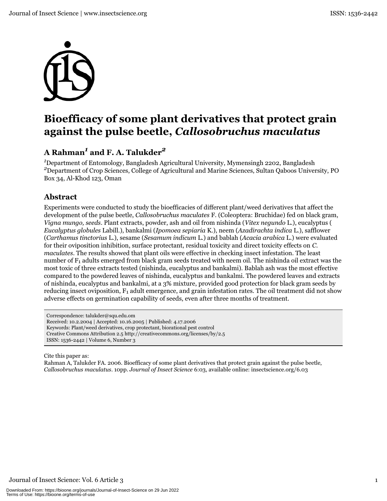

# Bioefficacy of some plant derivatives that protect grain against the pulse beetle, Callosobruchus maculatus

# A Rahman<sup>1</sup> and F. A. Talukder<sup>2</sup>

<sup>1</sup>Department of Entomology, Bangladesh Agricultural University, Mymensingh 2202, Bangladesh <sup>2</sup>Department of Crop Sciences, College of Agricultural and Marine Sciences, Sultan Qaboos University, PO Box 34, Al-Khod 123, Oman

# **Abstract**

Experiments were conducted to study the bioefficacies of different plant/weed derivatives that affect the development of the pulse beetle, *Callosobruchus maculates F.* (Coleoptera: Bruchidae) fed on black gram, Vigna mungo, seeds. Plant extracts, powder, ash and oil from nishinda (Vitex negundo L.), eucalyptus ( Eucalyptus globules Labill.), bankalmi (Ipomoea sepiaria K.), neem (Azadirachta indica L.), safflower (Carthamus tinctorius L.), sesame (Sesamum indicum L.) and bablah (Acacia arabica L.) were evaluated for their oviposition inhibition, surface protectant, residual toxicity and direct toxicity effects on C. maculates. The results showed that plant oils were effective in checking insect infestation. The least number of F<sub>1</sub> adults emerged from black gram seeds treated with neem oil. The nishinda oil extract was the most toxic of three extracts tested (nishinda, eucalyptus and bankalmi). Bablah ash was the most effective compared to the powdered leaves of nishinda, eucalyptus and bankalmi. The powdered leaves and extracts of nishinda, eucalyptus and bankalmi, at a 3% mixture, provided good protection for black gram seeds by reducing insect oviposition,  $F_1$  adult emergence, and grain infestation rates. The oil treatment did not show adverse effects on germination capability of seeds, even after three months of treatment.

Correspondence: talukder@squ.edu.om Received: 10.2.2004 | Accepted: 10.16.2005 | Published: 4.17.2006 Keywords: Plant/weed derivatives, crop protectant, biorational pest control Creative Commons Attribution 2.5 http://creativecommons.org/licenses/by/2.5 ISSN: 1536-2442 | Volume 6, Number 3

Cite this paper as:

Rahman A, Talukder FA. 2006. Bioefficacy of some plant derivatives that protect grain against the pulse beetle, Callosobruchus maculatus. 10pp. Journal of Insect Science 6:03, available online: insectscience.org/6.03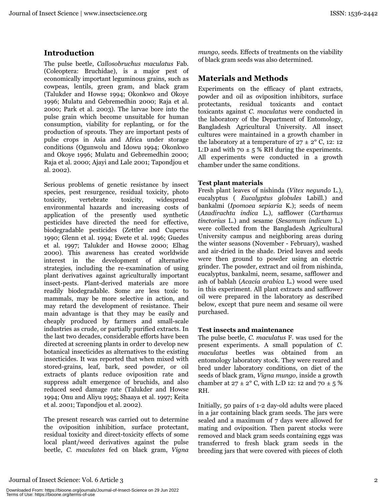## **Introduction**

The pulse beetle, Callosobruchus maculatus Fab. (Coleoptera: Bruchidae), is a major pest of economically important leguminous grains, such as cowpeas, lentils, green gram, and black gram (Talukder and Howse 1994; Okonkwo and Okoye 1996; Mulatu and Gebremedhin 2000; Raja et al. 2000; Park et al. 2003). The larvae bore into the pulse grain which become unsuitable for human consumption, viability for replanting, or for the production of sprouts. They are important pests of pulse crops in Asia and Africa under storage conditions (Ogunwolu and Idowu 1994; Okonkwo and Okove 1996; Mulatu and Gebremedhin 2000; Raja et al. 2000; Ajayi and Lale 2001; Tapondjou et al. 2002).

Serious problems of genetic resistance by insect species, pest resurgence, residual toxicity, photo toxicity, vertebrate toxicity, widespread environmental hazards and increasing costs of application of the presently used synthetic pesticides have directed the need for effective, biodegradable pesticides (Zettler and Cuperus 1990; Glenn et al. 1994; Ewete et al. 1996; Guedes et al. 1997; Talukder and Howse 2000; Elhag 2000). This awareness has created worldwide interest in the development of alternative strategies, including the re-examination of using plant derivatives against agriculturally important insect-pests. Plant-derived materials are more readily biodegradable. Some are less toxic to mammals, may be more selective in action, and may retard the development of resistance. Their main advantage is that they may be easily and cheaply produced by farmers and small-scale industries as crude, or partially purified extracts. In the last two decades, considerable efforts have been directed at screening plants in order to develop new botanical insecticides as alternatives to the existing insecticides. It was reported that when mixed with stored-grains, leaf, bark, seed powder, or oil extracts of plants reduce oviposition rate and suppress adult emergence of bruchids, and also reduced seed damage rate (Talukder and Howse 1994; Onu and Aliyu 1995; Shaaya et al. 1997; Keita et al. 2001; Tapondjou et al. 2002).

The present research was carried out to determine the oviposition inhibition, surface protectant, residual toxicity and direct-toxicity effects of some local plant/weed derivatives against the pulse beetle, C. maculates fed on black gram, Vigna

mungo, seeds. Effects of treatments on the viability of black gram seeds was also determined.

# **Materials and Methods**

Experiments on the efficacy of plant extracts, powder and oil as oviposition inhibitors, surface protectants, residual toxicants and contact toxicants against C. maculatus were conducted in the laboratory of the Department of Entomology, Bangladesh Agricultural University. All insect cultures were maintained in a growth chamber in the laboratory at a temperature of  $27 \pm 2^{\circ}$  C, 12: 12 L:D and with  $70 \pm 5$  % RH during the experiments. All experiments were conducted in a growth chamber under the same conditions.

## **Test plant materials**

Fresh plant leaves of nishinda (Vitex nequndo L.), eucalyptus ( Eucalyptus globules Labill.) and bankalmi (Ipomoea sepiaria K.); seeds of neem (Azadirachta indica L.), safflower (Carthamus tinctorius L.) and sesame (Sesamum indicum L.) were collected from the Bangladesh Agricultural University campus and neighboring areas during the winter seasons (November - February), washed and air-dried in the shade. Dried leaves and seeds were then ground to powder using an electric grinder. The powder, extract and oil from nishinda, eucalyptus, bankalmi, neem, sesame, safflower and ash of bablah (Acacia arabica L.) wood were used in this experiment. All plant extracts and safflower oil were prepared in the laboratory as described below, except that pure neem and sesame oil were purchased.

## **Test insects and maintenance**

The pulse beetle, C. maculatus F. was used for the present experiments. A small population of  $C$ . maculatus beetles was obtained from an entomology laboratory stock. They were reared and bred under laboratory conditions, on diet of the seeds of black gram, *Vigna mungo*, inside a growth chamber at  $27 \pm 2^{\circ}$  C, with L:D 12: 12 and 70  $\pm$  5 % RH.

Initially, 50 pairs of 1-2 day-old adults were placed in a jar containing black gram seeds. The jars were sealed and a maximum of 7 days were allowed for mating and oviposition. Then parent stocks were removed and black gram seeds containing eggs was transferred to fresh black gram seeds in the breeding jars that were covered with pieces of cloth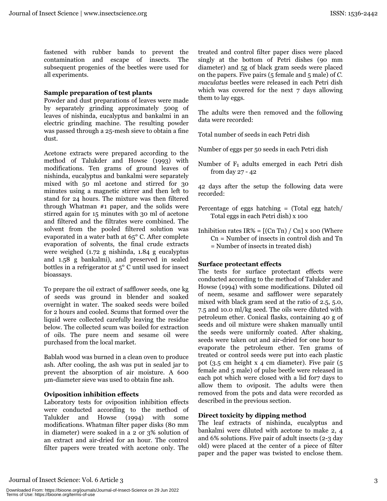fastened with rubber bands to prevent the contamination and escape of insects. The subsequent progenies of the beetles were used for all experiments.

## Sample preparation of test plants

Powder and dust preparations of leaves were made by separately grinding approximately 500g of leaves of nishinda, eucalyptus and bankalmi in an electric grinding machine. The resulting powder was passed through a 25-mesh sieve to obtain a fine dust.

Acetone extracts were prepared according to the method of Talukder and Howse (1993) with modifications. Ten grams of ground leaves of nishinda, eucalyptus and bankalmi were separately mixed with 50 ml acetone and stirred for 30 minutes using a magnetic stirrer and then left to stand for 24 hours. The mixture was then filtered through Whatman  $#1$  paper, and the solids were stirred again for 15 minutes with 30 ml of acetone and filtered and the filtrates were combined. The solvent from the pooled filtered solution was evaporated in a water bath at 65° C. After complete evaporation of solvents, the final crude extracts were weighed  $(1.72 \text{ g} \text{ nishinda}, 1.84 \text{ g} \text{ eucalvptus})$ and 1.58 g bankalmi), and preserved in sealed bottles in a refrigerator at  $5^{\circ}$  C until used for insect bioassays.

To prepare the oil extract of safflower seeds, one kg of seeds was ground in blender and soaked overnight in water. The soaked seeds were boiled for 2 hours and cooled. Scums that formed over the liquid were collected carefully leaving the residue below. The collected scum was boiled for extraction of oils. The pure neem and sesame oil were purchased from the local market.

Bablah wood was burned in a clean oven to produce ash. After cooling, the ash was put in sealed jar to prevent the absorption of air moisture. A 600 um-diameter sieve was used to obtain fine ash.

## Oviposition inhibition effects

Laboratory tests for oviposition inhibition effects were conducted according to the method of Talukder and Howse  $(1994)$  with some modifications. Whatman filter paper disks (80 mm in diameter) were soaked in a 2 or 3% solution of an extract and air-dried for an hour. The control filter papers were treated with acetone only. The treated and control filter paper discs were placed singly at the bottom of Petri dishes (90 mm diameter) and 5g of black gram seeds were placed on the papers. Five pairs ( $5$  female and  $5$  male) of C. maculatus beetles were released in each Petri dish which was covered for the next 7 days allowing them to lay eggs.

The adults were then removed and the following data were recorded:

Total number of seeds in each Petri dish

Number of eggs per 50 seeds in each Petri dish

Number of  $F_1$  adults emerged in each Petri dish from day  $27 - 42$ 

42 days after the setup the following data were recorded:

- Percentage of eggs hatching  $=$  (Total egg hatch/ Total eggs in each Petri dish) x 100
- Inhibition rates  $IR% = [(Cn Th) / Cn] x 100$  (Where  $Cn =$  Number of insects in control dish and Tn  $=$  Number of insects in treated dish)

## **Surface protectant effects**

The tests for surface protectant effects were conducted according to the method of Talukder and Howse (1994) with some modifications. Diluted oil of neem, sesame and safflower were separately mixed with black gram seed at the ratio of 2.5, 5.0, 7.5 and 10.0 ml/kg seed. The oils were diluted with petroleum ether. Conical flasks, containing 40 g of seeds and oil mixture were shaken manually until the seeds were uniformly coated. After shaking, seeds were taken out and air-dried for one hour to evaporate the petroleum ether. Ten grams of treated or control seeds were put into each plastic pot  $(3.5 \text{ cm} \text{ height} \times 4 \text{ cm} \text{ diameter})$ . Five pair  $(5.5 \text{ cm} \text{ height})$ female and 5 male) of pulse beetle were released in each pot which were closed with a lid for7 days to allow them to oviposit. The adults were then removed from the pots and data were recorded as described in the previous section.

## Direct toxicity by dipping method

The leaf extracts of nishinda, eucalyptus and bankalmi were diluted with acetone to make 2, 4 and 6% solutions. Five pair of adult insects (2-3 day old) were placed at the center of a piece of filter paper and the paper was twisted to enclose them.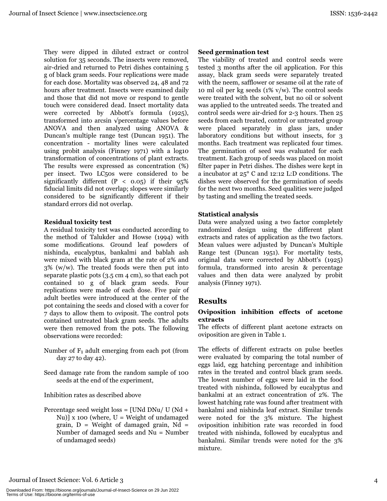They were dipped in diluted extract or control solution for 35 seconds. The insects were removed, air-dried and returned to Petri dishes containing 5 g of black gram seeds. Four replications were made for each dose. Mortality was observed 24, 48 and 72 hours after treatment. Insects were examined daily and those that did not move or respond to gentle touch were considered dead. Insect mortality data were corrected by Abbott's formula (1925), transformed into arcsin  $\sqrt{\text{percentage}}$  values before ANOVA and then analyzed using ANOVA & Duncan's multiple range test (Duncan 1951). The concentration - mortality lines were calculated using probit analysis (Finney 1971) with a log10 transformation of concentrations of plant extracts. The results were expressed as concentration (%) per insect. Two LC50s were considered to be significantly different  $(P < 0.05)$  if their  $95\%$ fiducial limits did not overlap; slopes were similarly considered to be significantly different if their standard errors did not overlap.

## **Residual toxicity test**

A residual toxicity test was conducted according to the method of Talukder and Howse (1994) with some modifications. Ground leaf powders of nishinda, eucalyptus, bankalmi and bablah ash were mixed with black gram at the rate of 2% and  $3\%$  (w/w). The treated foods were then put into separate plastic pots  $(3.5 \text{ cm } 4 \text{ cm})$ , so that each pot contained 10 g of black gram seeds. Four replications were made of each dose. Five pair of adult beetles were introduced at the center of the pot containing the seeds and closed with a cover for 7 days to allow them to oviposit. The control pots contained untreated black gram seeds. The adults were then removed from the pots. The following observations were recorded:

- Number of  $F_1$  adult emerging from each pot (from day 27 to day 42).
- Seed damage rate from the random sample of 100 seeds at the end of the experiment.

Inhibition rates as described above

Percentage seed weight loss = [UNd DNu/ U (Nd + Nu)] x 100 (where,  $U = Weight of undamaged$ grain,  $D = Weight of damaged grain, Nd =$ Number of damaged seeds and Nu = Number of undamaged seeds)

## Seed germination test

The viability of treated and control seeds were tested 3 months after the oil application. For this assay, black gram seeds were separately treated with the neem, safflower or sesame oil at the rate of 10 ml oil per kg seeds  $(1\% \text{ v/w})$ . The control seeds were treated with the solvent, but no oil or solvent was applied to the untreated seeds. The treated and control seeds were air-dried for 2-3 hours. Then 25 seeds from each treated, control or untreated group were placed separately in glass jars, under laboratory conditions but without insects, for 3 months. Each treatment was replicated four times. The germination of seed was evaluated for each treatment. Each group of seeds was placed on moist filter paper in Petri dishes. The dishes were kept in a incubator at  $25^{\circ}$  C and 12:12 L:D conditions. The dishes were observed for the germination of seeds for the next two months. Seed qualities were judged by tasting and smelling the treated seeds.

## **Statistical analysis**

Data were analyzed using a two factor completely randomized design using the different plant extracts and rates of application as the two factors. Mean values were adjusted by Duncan's Multiple Range test (Duncan 1951). For mortality tests, original data were corrected by Abbott's (1925) formula, transformed into arcsin & percentage values and then data were analyzed by probit analysis (Finney 1971).

## **Results**

## Oviposition inhibition effects of acetone extracts

The effects of different plant acetone extracts on oviposition are given in Table 1.

The effects of different extracts on pulse beetles were evaluated by comparing the total number of eggs laid, egg hatching percentage and inhibition rates in the treated and control black gram seeds. The lowest number of eggs were laid in the food treated with nishinda, followed by eucalyptus and bankalmi at an extract concentration of 2%. The lowest hatching rate was found after treatment with bankalmi and nishinda leaf extract. Similar trends were noted for the 3% mixture. The highest oviposition inhibition rate was recorded in food treated with nishinda, followed by eucalyptus and bankalmi. Similar trends were noted for the 3% mixture.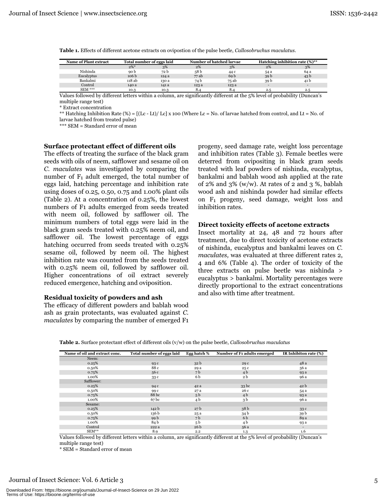| <b>Name of Plant extract</b> | Total number of eggs laid |       |       | Number of hatched larvae | Hatching inhibition rate $(\%)^{**}$ |                          |
|------------------------------|---------------------------|-------|-------|--------------------------|--------------------------------------|--------------------------|
|                              | $2\%$ *                   | 3%    | 2%    | 3%                       | 2%                                   | 3%                       |
| Nishinda                     | 90 b                      | 72 b  | 58 b  | 44 c                     | 54 a                                 | 64 a                     |
| Eucalyptus                   | 106 <sub>b</sub>          | 124 a | 77 ab | 69 <sub>b</sub>          | 39 <sub>b</sub>                      | 43 b                     |
| Bankalmi                     | 118 ab                    | 130 a | 74 b  | 75 ab                    | 39 b                                 | 41 b                     |
| Control                      | 140 a                     | 141 a | 123 a | 123 a                    |                                      | $\overline{\phantom{0}}$ |
| $SEM$ ***                    | 10.3                      | 10.3  | 8.4   | 8.4                      | 2.5                                  | 2.5                      |

Table 1. Effects of different acetone extracts on ovipostion of the pulse beetle, Callosobruchus maculatus.

Values followed by different letters within a column, are significantly different at the 5% level of probability (Duncan's multiple range test)

\* Extract concentration

\*\* Hatching Inhibition Rate (%) =  $[(Lc - Lt)/Lc] x 100$  (Where Lc = No. of larvae hatched from control, and Lt = No. of larvae hatched from treated pulse)

\*\*\* SEM = Standard error of mean

#### Surface protectant effect of different oils

The effects of treating the surface of the black gram seeds with oils of neem, safflower and sesame oil on C. maculates was investigated by comparing the number of  $F_1$  adult emerged, the total number of eggs laid, hatching percentage and inhibition rate using doses of 0.25, 0.50, 0.75 and  $1.00\%$  plant oils (Table 2). At a concentration of 0.25%, the lowest numbers of F1 adults emerged from seeds treated with neem oil, followed by safflower oil. The minimum numbers of total eggs were laid in the black gram seeds treated with 0.25% neem oil, and safflower oil. The lowest percentage of eggs hatching occurred from seeds treated with 0.25% sesame oil, followed by neem oil. The highest inhibition rate was counted from the seeds treated with 0.25% neem oil, followed by safflower oil. Higher concentrations of oil extract severely reduced emergence, hatching and oviposition.

#### Residual toxicity of powders and ash

The efficacy of different powders and bablah wood ash as grain protectants, was evaluated against C. *maculates* by comparing the number of emerged F<sub>1</sub>

progeny, seed damage rate, weight loss percentage and inhibition rates (Table 3). Female beetles were deterred from ovipositing in black gram seeds treated with leaf powders of nishinda, eucalyptus, bankalmi and bablah wood ash applied at the rate of  $2\%$  and  $3\%$  (w/w). At rates of 2 and 3 %, bablah wood ash and nishinda powder had similar effects on F<sub>1</sub> progeny, seed damage, weight loss and inhibition rates.

#### Direct toxicity effects of acetone extracts

Insect mortality at 24, 48 and 72 hours after treatment, due to direct toxicity of acetone extracts of nishinda, eucalyptus and bankalmi leaves on C. *maculates*, was evaluated at three different rates 2, 4 and 6% (Table 4). The order of toxicity of the three extracts on pulse beetle was nishinda > eucalyptus > bankalmi. Mortality percentages were directly proportional to the extract concentrations and also with time after treatment.

|  |  |  |  |  | <b>Table 2.</b> Surface protectant effect of different oils $(v/w)$ on the pulse beetle, <i>Callosobruchus maculatus</i> |
|--|--|--|--|--|--------------------------------------------------------------------------------------------------------------------------|
|--|--|--|--|--|--------------------------------------------------------------------------------------------------------------------------|

| Name of oil and extract conc. | Total number of eggs laid | Egg hatch %     | Number of F1 adults emerged | IR Inhibiton rate (%) |
|-------------------------------|---------------------------|-----------------|-----------------------------|-----------------------|
| Neem:                         |                           |                 |                             |                       |
| 0.25%                         | 93 c                      | 32 <sub>b</sub> | 29 c                        | 48 a                  |
| 0.50%                         | 88 c                      | 29 a            | 25 c                        | 56 a                  |
| 0.75%                         | 56 c                      | 7 b             | 4 <sub>b</sub>              | 93 a                  |
| 1.00%                         | 33 c                      | 6 b             | 2 b                         | 96 a                  |
| Safflower:                    |                           |                 |                             |                       |
| 0.25%                         | 94 c                      | 42 a            | 33 <sub>bc</sub>            | 42 <sub>b</sub>       |
| 0.50%                         | 99 c                      | 27 a            | 26 c                        | 54 a                  |
| 0.75%                         | 88 bc                     | 5 <sub>b</sub>  | 4 <sub>b</sub>              | 93 a                  |
| 1.00%                         | 67 bc                     | 4 b             | 3b                          | 96 a                  |
| Sesame:                       |                           |                 |                             |                       |
| 0.25%                         | 142 b                     | 27 <sub>b</sub> | 38 <sub>b</sub>             | 33 <sub>c</sub>       |
| 0.50%                         | 136 b                     | 25 a            | 34 b                        | 39 b                  |
| 0.75%                         | 99 b                      | 7 b             | 6 b                         | 89 a                  |
| 1.00%                         | 84 b                      | 5 <sub>b</sub>  | 4 b                         | 93 a                  |
| Control                       | 222 a                     | 26 b            | 56 a                        |                       |
| $SEM**$                       | 8.9                       | 2.2             | 1.3                         | 1.6                   |

Values followed by different letters within a column, are significantly different at the 5% level of probability (Duncan's multiple range test)

\* SEM = Standard error of mean

## Journal of Insect Science: Vol. 6 Article 3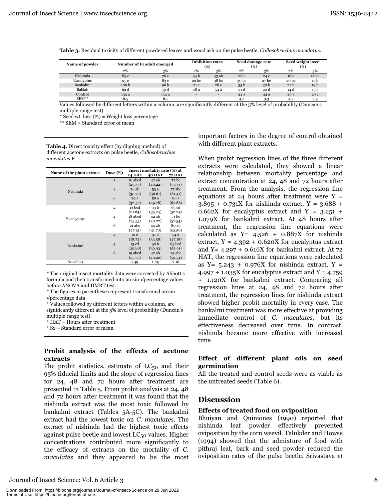| Name of powder |                  | Number of F1 adult emerged |       | <b>Inhibition rates</b><br>(%) |                 | Seed damage rate<br>(%) |                  | Seed weight loss*<br>$(\%$ |  |
|----------------|------------------|----------------------------|-------|--------------------------------|-----------------|-------------------------|------------------|----------------------------|--|
|                | 2%               | 3%                         | 2%    | 3%                             | 2%              | 3%                      | 2%               | 3%                         |  |
| Nishinda       | 89 c             | 76 c                       | 34 b  | 43 ab                          | 28c             | 24 c                    | 18c              | 16 <sub>bc</sub>           |  |
| Eucalyptus     | 95 c             | 83 c                       | 29 bc | 38 <sub>bc</sub>               | 30 bc           | 27 <sub>bc</sub>        | 20 <sub>bc</sub> | 17 b                       |  |
| Bankalmi       | 106 <sub>b</sub> | 96 b                       | 21 c  | 28 c                           | 35 <sub>b</sub> | 30 <sub>b</sub>         | 22 <sub>b</sub>  | 19 b                       |  |
| Bablah         | 69 d             | 59 d                       | 48 a  | 54 a                           | 21 d            | 20 d                    | 14 d             | 13 c                       |  |
| Control        | 134 a            | 134 a                      | -     | $\overline{\phantom{a}}$       | 44 a            | 44 a                    | 29 a             | 29 a                       |  |
| $SEM**$        | 6.5              | 6.1                        |       | $\overline{\phantom{a}}$       | 4.7             | $3-3$                   | 4.7              | 3.9                        |  |

Table 3. Residual toxicity of different powdered leaves and wood ash on the pulse beetle, *Callosobruchus maculatus*.

Values followed by different letters within a column, are significantly different at the 5% level of probability (Duncan's multiple range test)

 $*$  Seed wt. loss  $(\%)$  = Weight loss percentage

 $\ast\ast$  SEM = Standard error of mean

Table 4. Direct toxicity effect (by dipping method) of different acetone extracts on pulse beetle, Callosobruchus *maculatus* F.

|                           | Dose $(\%)$    | Insect mortality rate (%) at |                 |          |  |
|---------------------------|----------------|------------------------------|-----------------|----------|--|
| Name of the plant extract |                | <b>24 HAT</b>                | <b>48 HAT</b>   | 72 HAT   |  |
|                           | $\overline{2}$ | 18 abcd                      | 42ab            | 72 bc    |  |
|                           |                | (25.33)                      | (40.22)         | (57.73)  |  |
| Nishinda                  | $\overline{4}$ | 26 ab                        | 53 a            | 77 abc   |  |
|                           |                | (30.72)                      | (46.61)         | (61.41)  |  |
|                           | 6              | 29 a                         | 58 a            | 86 a     |  |
|                           |                | (32.52)                      | (49.78)         | (67.86)  |  |
|                           | $\overline{2}$ | 13 bcd                       | 33 <sub>b</sub> | 63 cd    |  |
|                           |                | (21.64)                      | (35.24)         | (52.24)  |  |
| Eucalyptus                | 4              | 18 abcd                      | 42 ab           | 71 bc    |  |
|                           |                | (25.55)                      | (40.22)         | (57.54)  |  |
|                           | 6              | 21 abc                       | 44 ab           | 80 ab    |  |
|                           |                | (27.13)                      | (41.78)         | (63.58)  |  |
|                           | $\overline{2}$ | 10 d                         | 31 <sub>b</sub> | 54 d     |  |
|                           |                | (18.72)                      | (33.58)         | (47.18)  |  |
| Bankalmi                  | $\overline{4}$ | 13 cd                        | 36 <sub>b</sub> | $65$ bcd |  |
|                           |                | (20.88)                      | (36.93)         | (53.91)  |  |
|                           | 6              | 19 abcd                      | 42ab            | 74 abc   |  |
|                           |                | (25.77)                      | (40.22)         | (59.54)  |  |
| Sx values                 |                | 1.49                         | 1.65            | 2.16     |  |

\* The original insect mortality data were corrected by Abbott's formula and then transformed into arcsin  $\sqrt{\text{percent}}$  values before ANOVA and DMRT test.

\* The figures in parentheses represent transformed arcsin  $\sqrt{\text{percentage data}}$ 

\* Values followed by different letters within a column, are significantly different at the 5% level of probability (Duncan's multiple range test)

 $*$  HAT = Hours after treatment

 $*$  Sx = Standard error of mean

## **Probit analysis of the effects of acetone extracts**

The probit statistics, estimate of  $LC_{50}$  and their 95% fiducial limits and the slope of regression lines for  $24$ ,  $48$  and  $72$  hours after treatment are presented in Table 5. From probit analysis at  $24,48$ and 72 hours after treatment it was found that the nishinda extract was the most toxic followed by bankalmi extract (Tables 5A-5C). The bankalmi extract had the lowest toxic on C. maculates. The extract of nishinda had the highest toxic effects against pulse beetle and lowest  $LC_{50}$  values. Higher concentrations contributed more significantly to the efficacy of extracts on the mortality of C. *maculates* and they appeared to be the most

-Ryundom School School (1995) 66 September 1988 66 September 1989 66 September 1989 66 September 1999 66 September 1999 66 September 1999 66 September 1999 86 September 1999 86 September 1999 86 September 1999 86 September

important factors in the degree of control obtained with different plant extracts.

When probit regression lines of the three different extracts were calculated, they showed a linear relationship between mortality percentage and extract concentration at 24, 48 and 72 hours after treatment. From the analysis, the regression line equations at 24 hours after treatment were  $Y =$  $3.895 + 0.731X$  for nishinda extract,  $Y = 3.688 +$  $0.662X$  for eucalyptus extract and Y = 3.251 +  $1.079X$  for bankalmi extract. At 48 hours after treatment, the regression line equations were calculated as  $Y = 4.526 + 0.887X$  for nishinda extract,  $Y = 4.392 + 0.620X$  for eucalyptus extract and Y =  $4.297 + 0.616X$  for bankalmi extract. At  $72$ HAT, the regression line equations were calculated as  $Y = 5.243 + 0.976X$  for nishinda extract,  $Y =$  $4.997 + 1.035X$  for eucalyptus extract and Y = 4.759 + 1.120X for bankalmi extract. Comparing all regression lines at  $24$ ,  $48$  and  $72$  hours after treatment, the regression lines for nishinda extract showed higher probit mortality in every case. The bankalmi treatment was more effective at providing immediate control of *C. maculates*, but its effectiveness decreased over time. In contrast, nishinda became more effective with increased time.

## **Effect of different plant oils on seed germination**

All the treated and control seeds were as viable as the untreated seeds (Table 6).

## **Discussion**

## **Effects of treated food on oviposition**

Bhuiyan and Quiniones (1990) reported that nishinda leaf powder effectively prevented oviposition by the corn weevil. Talukder and Howse  $(1994)$  showed that the admixture of food with pithraj leaf, bark and seed powder reduced the oviposition rates of the pulse beetle. Srivastava et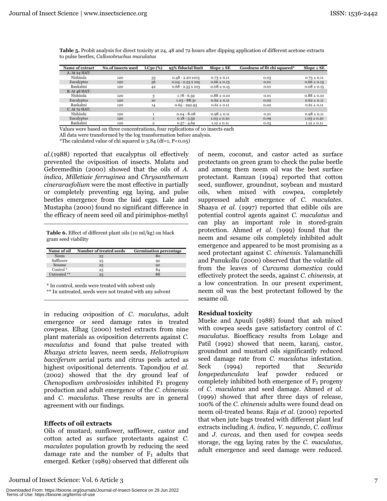| <b>Name of extract</b> | <b>No.of insects used</b> | LC <sub>50</sub> (%) | 95% fiducial limit       | $Slope \pm SE$  | Goodness of fit chi squared* | $Slope \pm SE$  |
|------------------------|---------------------------|----------------------|--------------------------|-----------------|------------------------------|-----------------|
| A. At 24 HAT:          |                           |                      |                          |                 |                              |                 |
| Nishinda               | 120                       | 33                   | $0.48 - 2.20$ X103       | $0.73 \pm 0.11$ | 0.03                         | $0.73 \pm 0.11$ |
| Eucalyptus             | 120                       | 56                   | $0.04 - 2.23 \times 105$ | $0.66 \pm 0.13$ | 0.01                         | $0.66 \pm 0.13$ |
| Bankalmi               | 120                       | 42                   | $0.68 - 2.55 \times 103$ | $0.08 \pm 0.15$ | 0.01                         | $0.08 \pm 0.15$ |
| <b>B.</b> At 48 HAT:   |                           |                      |                          |                 |                              |                 |
| Nishinda               | 120                       | 3                    | $1.78 - 6.59$            | $0.88 \pm 0.10$ | 0.01                         | $0.88 \pm 0.10$ |
| Eucalyptus             | 120                       | 10                   | $1.03 - 88.31$           | $0.62 \pm 0.11$ | 0.02                         | $0.62 \pm 0.11$ |
| Bankalmi               | 120                       | 14                   | $0.65 - 292.93$          | $0.61 \pm 0.11$ | 0.02                         | $0.61 \pm 0.11$ |
| C. At 72 HAT:          |                           |                      |                          |                 |                              |                 |
| Nishinda               | 120                       |                      | $0.04 - 8.08$            | $0.98 \pm 0.11$ | 0.21                         | $0.98 \pm 0.11$ |
| Eucalyptus             | 120                       | $\mathbf{1}$         | $0.18 - 5.59$            | $1.03 \pm 0.10$ | 0.09                         | $1.03 \pm 0.10$ |
| Bankalmi               | 120                       | $\overline{2}$       | $0.57 - 4.69$            | $1.12 \pm 0.11$ | 0.03                         | $1.12 + 0.11$   |

Table 5. Probit analysis for direct toxicity at 24, 48 and 72 hours after dipping application of different acetone extracts to pulse beetles, Callosobruchus maculatus

Values were based on three concentrations, four replications of 10 insects each

All data were transformed by the log transformation before analysis.

\*The calculated value of chi squared is 3.84 (df=1, P<0.05)

al. (1988) reported that eucalyptus oil effectively prevented the oviposition of insects. Mulatu and Gebremedhin (2000) showed that the oils of A. indica, Milletiaie ferruginea and Chrysanthemum cineraraefolium were the most effective in partially or completely preventing egg laying, and pulse beetles emergence from the laid eggs. Lale and Mustapha (2000) found no significant difference in the efficacy of neem seed oil and pirimiphos-methyl

Table 6. Effect of different plant oils (10 ml/kg) on black gram seed viability

| Name of oil          | Number of treated seeds | <b>Germination percentage</b> |
|----------------------|-------------------------|-------------------------------|
| Neem                 | 25                      | 80                            |
| Safflower            | 25                      | 92                            |
| Sesame               | 25                      | 92                            |
| Control <sup>*</sup> | 25                      | 84                            |
| Untreated **         | 25                      |                               |

\* In control, seeds were treated with solvent only

\*\* In untreated, seeds were not treated with any solvent

in reducing oviposition of C. maculatus, adult emergence or seed damage rates in treated cowpeas. Elhag (2000) tested extracts from nine plant materials as oviposition deterrents against C. maculatus and found that pulse treated with Rhazya stricta leaves, neem seeds, Heliotropium bacciferum aerial parts and citrus peels acted as highest ovipositional deterrents. Tapondjou et al. (2002) showed that the dry ground leaf of Chenopodium ambrosioides inhibited F1 progeny production and adult emergence of the C. chinensis and C. maculatus. These results are in general agreement with our findings.

## **Effects of oil extracts**

Oils of mustard, sunflower, safflower, castor and cotton acted as surface protectants against C. *maculates* population growth by reducing the seed damage rate and the number of  $F_1$  adults that emerged. Ketker (1989) observed that different oils

Journal of Insect Science: Vol. 6 Article 3

of neem, coconut, and castor acted as surface protectants on green gram to check the pulse beetle and among them neem oil was the best surface protectant. Ramzan (1994) reported that cotton seed, sunflower, groundnut, soybean and mustard oils, when mixed with cowpea, completely suppressed adult emergence of C. maculates. Shaaya et al. (1997) reported that edible oils are potential control agents against C. maculatus and can play an important role in stored-grain protection. Ahmed et al. (1999) found that the neem and sesame oils completely inhibited adult emergence and appeared to be most promising as a seed protectant against C. chinensis. Yalamanchilli and Punukollu (2000) observed that the volatile oil from the leaves of Curcuma domestica could effectively protect the seeds, against C. chinensis, at a low concentration. In our present experiment, neem oil was the best protectant followed by the sesame oil.

#### **Residual toxicity**

Mueke and Apuuli (1988) found that ash mixed with cowpea seeds gave satisfactory control of  $C$ . maculatus. Bioefficacy results from Lolage and Patil (1992) showed that neem, karanj, castor, groundnut and mustard oils significantly reduced seed damage rate from C. maculatus infestation. reported Seck  $(1994)$ that Securida longepedunculata leaf powder reduced or completely inhibited both emergence of  $F_1$  progeny of C. maculatus and seed damage. Ahmed et al. (1999) showed that after three days of release, 100% of the C. chinensis adults were found dead on neem oil-treated beans. Raja et al. (2000) reported that when jute bags treated with different plant leaf extracts including A. indica, V. negundo, C. collinus and J. curcas, and then used for cowpea seeds storage, the egg laying rates by the C. maculatus, adult emergence and seed damage were reduced.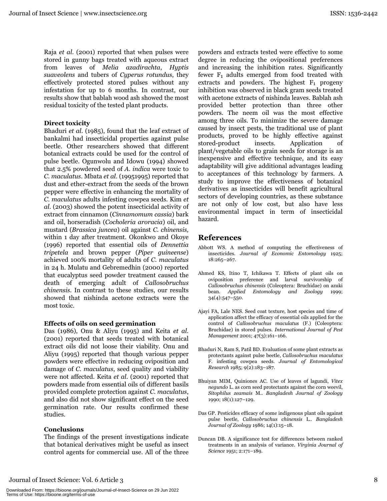Raja et al. (2001) reported that when pulses were stored in gunny bags treated with aqueous extract from leaves of Melia azadirachta, Hyptis suaveolens and tubers of Cyperus rotundus, they effectively protected stored pulses without any infestation for up to 6 months. In contrast, our results show that bablah wood ash showed the most residual toxicity of the tested plant products.

## **Direct toxicity**

Bhaduri et al. (1985), found that the leaf extract of bankalmi had insecticidal properties against pulse beetle. Other researchers showed that different botanical extracts could be used for the control of pulse beetle. Ogunwolu and Idowu (1994) showed that 2.5% powdered seed of A. indica were toxic to C. maculatus. Mbata et al. (19951995) reported that dust and ether-extract from the seeds of the brown pepper were effective in enhancing the mortality of C. maculatus adults infesting cowpea seeds. Kim et al. (2003) showed the potent insecticidal activity of extract from cinnamon (Cinnamomum cassia) bark and oil, horseradish (Cocholeria aroracia) oil, and mustard (Brassica juncea) oil against C. chinensis, within 1 day after treatment. Okonkwo and Okoye (1996) reported that essential oils of *Dennettia* tripetela and brown pepper (Piper guineense) achieved 100% mortality of adults of C. maculatus in 24 h. Mulatu and Gebremedhin (2000) reported that eucalyptus seed powder treatment caused the death of emerging adult of Callosobruchus *chinensis*. In contrast to these studies, our results showed that nishinda acetone extracts were the most toxic.

## **Effects of oils on seed germination**

Das (1986), Onu & Aliyu (1995) and Keita et al. (2001) reported that seeds treated with botanical extract oils did not loose their viability. Onu and Aliyu (1995) reported that though various pepper powders were effective in reducing oviposition and damage of C. maculatus, seed quality and viability were not affected. Keita et al. (2001) reported that powders made from essential oils of different basils provided complete protection against C. maculatus, and also did not show significant effect on the seed germination rate. Our results confirmed these studies.

## **Conclusions**

The findings of the present investigations indicate that botanical derivatives might be useful as insect control agents for commercial use. All of the three

powders and extracts tested were effective to some degree in reducing the ovipositional preferences and increasing the inhibition rates. Significantly fewer  $F_1$  adults emerged from food treated with extracts and powders. The highest  $F_1$  progeny inhibition was observed in black gram seeds treated with acetone extracts of nishinda leaves. Bablah ash provided better protection than three other powders. The neem oil was the most effective among three oils. To minimize the severe damage caused by insect pests, the traditional use of plant products, proved to be highly effective against Application stored-product insects. of plant/vegetable oils to grain seeds for storage is an inexpensive and effective technique, and its easy adaptability will give additional advantages leading to acceptances of this technology by farmers. A study to improve the effectiveness of botanical derivatives as insecticides will benefit agricultural sectors of developing countries, as these substance are not only of low cost, but also have less environmental impact in term of insecticidal hazard.

## **References**

- Abbott WS. A method of computing the effectiveness of insecticides. Journal of Economic Entomology 1925;  $18:265 - 267.$
- Ahmed KS, Itino T, Ichikawa T. Effects of plant oils on oviposition preference and larval survivorship of Callosobruchus chinensis (Coleoptera: Bruchidae) on azuki Entomology and Zoology bean. Applied 1999:  $34(4):547-550.$
- Ajayi FA, Lale NES. Seed coat texture, host species and time of application affect the efficacy of essential oils applied for the control of Callosobruchus maculatus (F.) (Coleoptera: Bruchidae) in stored pulses. International Journal of Pest Management 2001; 47(3):161-166.
- Bhaduri N, Ram S, Patil BD. Evaluation of some plant extracts as protectants against pulse beetle, Callosobruchus maculatus F. infesting cowpea seeds. Journal of Entomological Research 1985; 9(2):183-187.
- Bhuiyan MIM, Quiniones AC. Use of leaves of lagundi, Vitex nequndo L. as corn seed protectants against the corn weevil, Sitophilus zeamais M.. Bangladesh Journal of Zoology 1990; 18(1):127-129.
- Das GP. Pesticides efficacy of some indigenous plant oils against pulse beetle, Callosobruchus chinensis L.. Bangladesh Journal of Zoology 1986; 14(1):15-18.
- Duncan DB. A significance test for differences between ranked treatments in an analysis of variance. Virginia Journal of Science 1951; 2:171-189.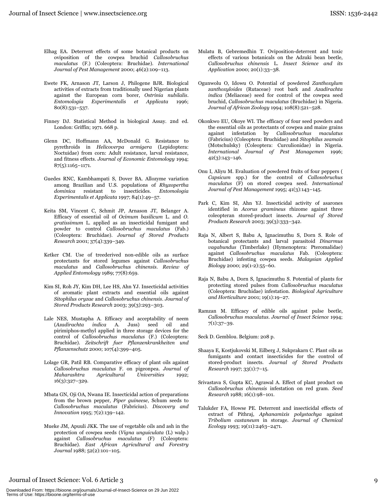- Elhag EA. Deterrent effects of some botanical products on oviposition of the cowpea bruchid Callosobruchus maculatus (F.) (Coleoptera: Bruchidae). International Journal of Pest Management 2000; 46(2):109-113.
- Ewete FK, Arnason JT, Larson J, Philogene BJR. Biological activities of extracts from traditionally used Nigerian plants against the European corn borer, Ostrinia nubilalis. Entomologia Experimentalis et Applicata 1996;  $80(8):531-537.$
- Finney DJ. Statistical Method in biological Assay. 2nd ed. London: Griffin; 1971. 668 p.
- Glenn DC, Hoffmann AA, McDonald G. Resistance to pyrethroids in Helicoverpa armigera (Lepidoptera: Noctuidae) from corn: Adult resistance, larval resistance, and fitness effects. Journal of Economic Entomology 1994;  $87(5):1165-1171.$
- Guedes RNC, Kambhampati S, Dover BA, Allozyme variation among Brazilian and U.S. populations of Rhyzopertha dominica resistant to insecticides. Entomologia Experimentalis et Applicata 1997; 84(1):49-57.
- Keita SM, Vincent C, Schmit JP, Arnason JT, Belanger A. Efficacy of essential oil of Ocimum basilicum L. and O. gratissimum L. applied as an insecticidal fumigant and powder to control Callosobruchus maculatus (Fab.) (Coleoptera: Bruchidae). Journal of Stored Products Research 2001; 37(4):339-349.
- Ketker CM. Use of treederived non-edible oils as surface protectants for stored legumes against Callosobruchus maculatus and Callosobruchus chinensis. Review of Applied Entomology 1989; 77(8):659.
- Kim SI, Roh JY, Kim DH, Lee HS, Ahn YJ. Insecticidal activities of aromatic plant extracts and essential oils against Sitophilus oryzae and Callosobruchus chinensis. Journal of Stored Products Research 2003; 39(3):293-303.
- Lale NES, Mustapha A. Efficacy and acceptability of neem (Azadirachta indica A. Juss) seed oil and pirimiphos-methyl applied in three storage devices for the control of Callosobruchus maculatus (F.) (Coleoptera: Bruchidae). Zeitschrift fuer Pflanzenkrankheiten und Pflanzenschutz 2000; 107(4):399-405.
- Lolage GR, Patil RB. Comparative efficacy of plant oils against Callosobruchus maculatus F. on pigeonpea. Journal of Maharashtra Agricultural Universities 1992;  $16(3):327-329.$
- Mbata GN, Oji OA, Nwana IE. Insecticidal action of preparations from the brown pepper, Piper guineese, Schum seeds to Callosobruchus maculatus (Fabricius). Discovery and Innovation 1995; 7(2):139-142.
- Mueke JM, Apuuli JKK. The use of vegetable oils and ash in the protection of cowpea seeds (Vigna unquiculata (L) walp.) against Callosobruchus maculatus (F) (Coleoptera: Bruchidae). East African Agricultural and Forestry Journal 1988; 52(2):101-105.
- Mulatu B, Gebremedhin T. Oviposition-deterrent and toxic effects of various botanicals on the Adzuki bean beetle, Callosobruchus chinensis L. Insect Science and its Application 2000; 20(1):33-38.
- Ogunwolu O, Idowu O. Potential of powdered Zanthoxylum zanthoxyloides (Rutaceae) root bark and Azadirachta indica (Meliaceae) seed for control of the cowpea seed bruchid, Callosobruchus maculatus (Bruchidae) in Nigeria. Journal of African Zoology 1994; 108(8):521-528.
- Okonkwo EU, Okoye WI. The efficacy of four seed powders and the essential oils as protectants of cowpea and maize grains against infestation by Callosobruchus maculatus (Fabricius) (Coleoptera: Bruchidae) and Sitophilus zeamais (Motschulsky) (Coleoptera: Curculionidae) in Nigeria. International Journal of Pest Managemen 1996;  $42(3):143-146.$
- Onu I, Aliyu M. Evaluation of powdered fruits of four peppers ( Capsicum spp.) for the control of Callosobruchus maculatus (F) on stored cowpea seed. International Journal of Pest Management 1995; 41(3):143-145.
- Park C, Kim SI, Ahn YJ. Insecticidal activity of asarones identified in Acorus gramineus rhizome against three coleopteran stored-product insects. Journal of Stored Products Research 2003; 39(3):333-342.
- Raja N, Albert S, Babu A, Ignacimuthu S, Dorn S. Role of botanical protectants and larval parasitoid Dinarmus vagabundus (Timberlake) (Hymenoptera: Pteromalidae) against Callosobruchus maculatus Fab. (Coleoptera: Bruchidae) infesting cowpea seeds. Malaysian Applied Biology 2000; 29(1-2):55-60.
- Raja N, Babu A, Dorn S, Ignacimuthu S. Potential of plants for protecting stored pulses from Callosobruchus maculatus (Coleoptera: Bruchidae) infestation. Biological Agriculture and Horticulture 2001;  $19(1):19-27$ .
- Ramzan M. Efficacy of edible oils against pulse beetle, Callosobruchus maculatus. Journal of Insect Science 1994;  $7(1):37-39.$

Seck D. Gemblou. Belgium: 208 p.

- Shaaya E, Kostjukovski M, Eilberg J, Sukprakarn C. Plant oils as fumigants and contact insecticides for the control of stored-product insects. Journal of Stored Products Research 1997; 33(1):7-15.
- Srivastava S, Gupta KC, Agrawal A. Effect of plant product on Callosobruchus chinensis infestation on red gram. Seed Research 1988; 16(1):98-101.
- Talukder FA, Howse PE. Deterrent and insecticidal effects of extract of Pithraj, Aphanamixis polystachya against Tribolium castaneum in storage. Journal of Chemical Ecology 1993; 19(11):2463-2471.

#### Journal of Insect Science: Vol. 6 Article 3